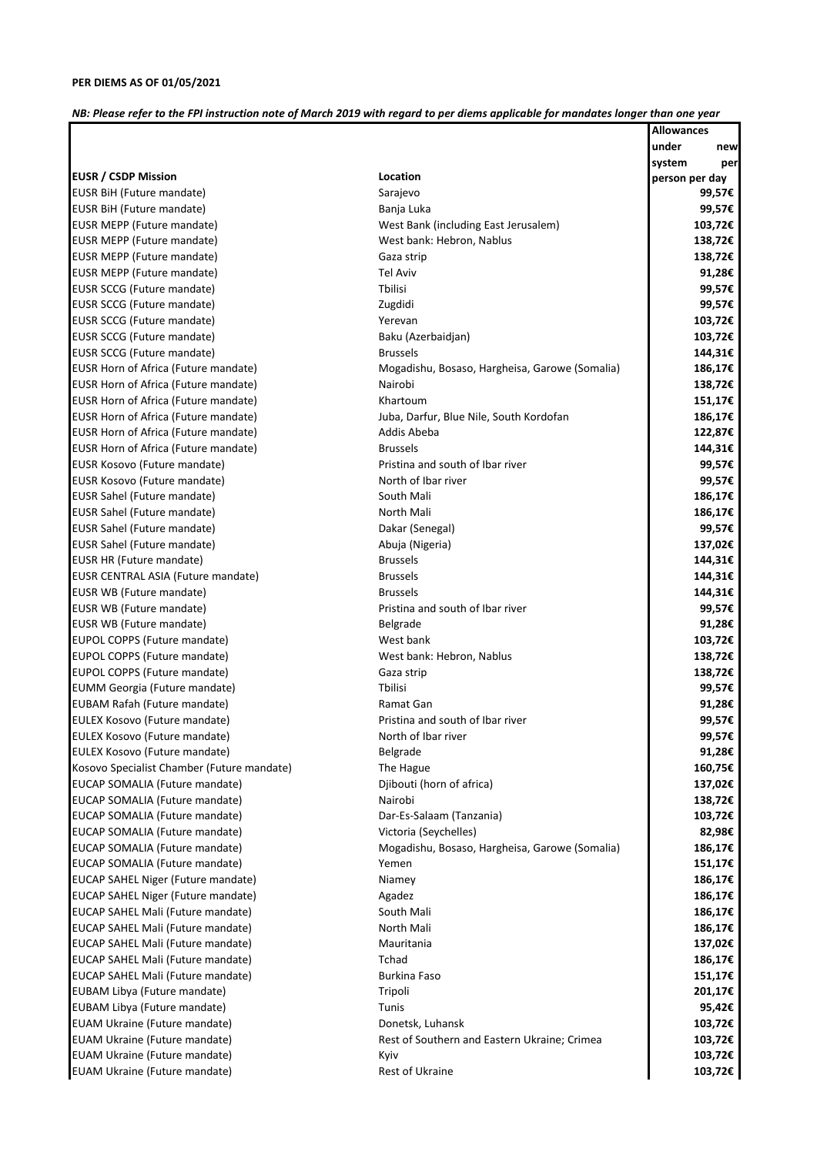*NB: Please refer to the FPI instruction note of March 2019 with regard to per diems applicable for mandates longer than one year*

**Allowances** 

|                                            |                                                | under<br>new   |
|--------------------------------------------|------------------------------------------------|----------------|
|                                            |                                                | system<br>per  |
| <b>EUSR / CSDP Mission</b>                 | Location                                       | person per day |
| EUSR BiH (Future mandate)                  | Sarajevo                                       | 99,57€         |
| EUSR BiH (Future mandate)                  | Banja Luka                                     | 99,57€         |
| EUSR MEPP (Future mandate)                 | West Bank (including East Jerusalem)           | 103,72€        |
| <b>EUSR MEPP (Future mandate)</b>          | West bank: Hebron, Nablus                      | 138,72€        |
| <b>EUSR MEPP (Future mandate)</b>          | Gaza strip                                     | 138,72€        |
| EUSR MEPP (Future mandate)                 | <b>Tel Aviv</b>                                | 91,28€         |
| EUSR SCCG (Future mandate)                 | <b>T</b> bilisi                                | 99,57€         |
| EUSR SCCG (Future mandate)                 | Zugdidi                                        | 99,57€         |
| EUSR SCCG (Future mandate)                 | Yerevan                                        | 103,72€        |
| EUSR SCCG (Future mandate)                 | Baku (Azerbaidjan)                             | 103,72€        |
| EUSR SCCG (Future mandate)                 | <b>Brussels</b>                                | 144,31€        |
| EUSR Horn of Africa (Future mandate)       | Mogadishu, Bosaso, Hargheisa, Garowe (Somalia) | 186,17€        |
| EUSR Horn of Africa (Future mandate)       | Nairobi                                        | 138,72€        |
| EUSR Horn of Africa (Future mandate)       | Khartoum                                       | 151,17€        |
| EUSR Horn of Africa (Future mandate)       | Juba, Darfur, Blue Nile, South Kordofan        | 186,17€        |
| EUSR Horn of Africa (Future mandate)       | Addis Abeba                                    | 122,87€        |
| EUSR Horn of Africa (Future mandate)       | <b>Brussels</b>                                | 144,31€        |
| EUSR Kosovo (Future mandate)               | Pristina and south of Ibar river               | 99,57€         |
| EUSR Kosovo (Future mandate)               | North of Ibar river                            | 99,57€         |
| <b>EUSR Sahel (Future mandate)</b>         | South Mali                                     | 186,17€        |
| EUSR Sahel (Future mandate)                | North Mali                                     | 186,17€        |
| EUSR Sahel (Future mandate)                | Dakar (Senegal)                                | 99,57€         |
| EUSR Sahel (Future mandate)                | Abuja (Nigeria)                                | 137,02€        |
| EUSR HR (Future mandate)                   | <b>Brussels</b>                                | 144,31€        |
| EUSR CENTRAL ASIA (Future mandate)         | <b>Brussels</b>                                | 144,31€        |
| EUSR WB (Future mandate)                   | <b>Brussels</b>                                | 144,31€        |
| EUSR WB (Future mandate)                   | Pristina and south of Ibar river               | 99,57€         |
| EUSR WB (Future mandate)                   | <b>Belgrade</b>                                | 91,28€         |
| EUPOL COPPS (Future mandate)               | West bank                                      | 103,72€        |
| EUPOL COPPS (Future mandate)               | West bank: Hebron, Nablus                      | 138,72€        |
| EUPOL COPPS (Future mandate)               | Gaza strip                                     | 138,72€        |
| <b>EUMM Georgia (Future mandate)</b>       | <b>T</b> bilisi                                | 99,57€         |
| <b>EUBAM Rafah (Future mandate)</b>        | Ramat Gan                                      | 91,28€         |
| EULEX Kosovo (Future mandate)              | Pristina and south of Ibar river               | 99,57€         |
| EULEX Kosovo (Future mandate)              | North of Ibar river                            | 99,57€         |
| EULEX Kosovo (Future mandate)              | <b>Belgrade</b>                                | 91,28€         |
| Kosovo Specialist Chamber (Future mandate) |                                                | 160,75€        |
| EUCAP SOMALIA (Future mandate)             | The Hague                                      |                |
|                                            | Djibouti (horn of africa)                      | 137,02€        |
| EUCAP SOMALIA (Future mandate)             | Nairobi                                        | 138,72€        |
| EUCAP SOMALIA (Future mandate)             | Dar-Es-Salaam (Tanzania)                       | 103,72€        |
| EUCAP SOMALIA (Future mandate)             | Victoria (Seychelles)                          | 82,98€         |
| EUCAP SOMALIA (Future mandate)             | Mogadishu, Bosaso, Hargheisa, Garowe (Somalia) | 186,17€        |
| EUCAP SOMALIA (Future mandate)             | Yemen                                          | 151,17€        |
| <b>EUCAP SAHEL Niger (Future mandate)</b>  | Niamey                                         | 186,17€        |
| EUCAP SAHEL Niger (Future mandate)         | Agadez                                         | 186,17€        |
| EUCAP SAHEL Mali (Future mandate)          | South Mali                                     | 186,17€        |
| EUCAP SAHEL Mali (Future mandate)          | North Mali                                     | 186,17€        |
| EUCAP SAHEL Mali (Future mandate)          | Mauritania                                     | 137,02€        |
| EUCAP SAHEL Mali (Future mandate)          | Tchad                                          | 186,17€        |
| EUCAP SAHEL Mali (Future mandate)          | <b>Burkina Faso</b>                            | 151,17€        |
| EUBAM Libya (Future mandate)               | Tripoli                                        | 201,17€        |
| EUBAM Libya (Future mandate)               | Tunis                                          | 95,42€         |
| <b>EUAM Ukraine (Future mandate)</b>       | Donetsk, Luhansk                               | 103,72€        |
| <b>EUAM Ukraine (Future mandate)</b>       | Rest of Southern and Eastern Ukraine; Crimea   | 103,72€        |
| <b>EUAM Ukraine (Future mandate)</b>       | Kyiv                                           | 103,72€        |
| <b>EUAM Ukraine (Future mandate)</b>       | Rest of Ukraine                                | 103,72€        |